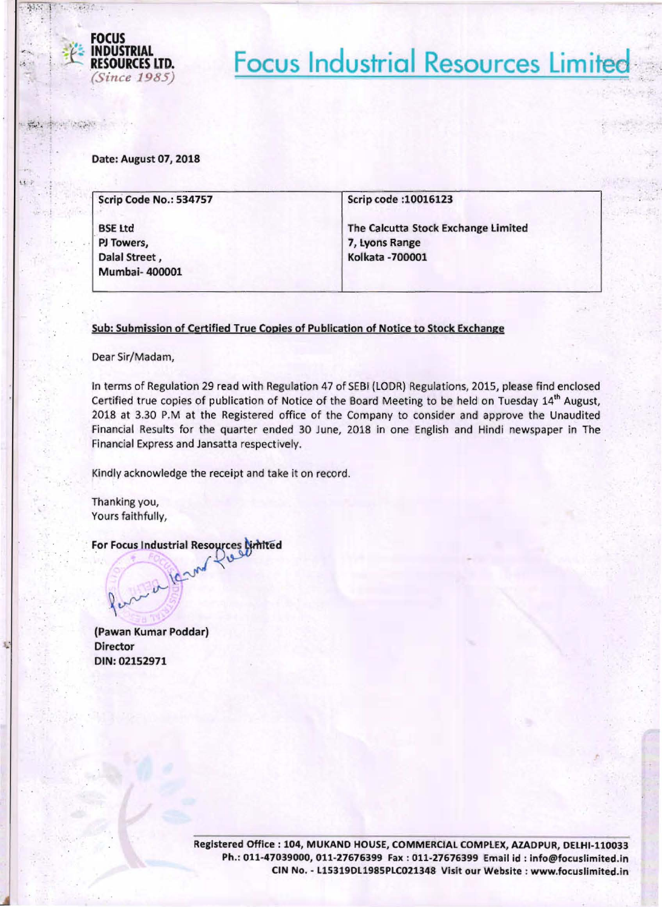

 $\mathbf{F}$   $\mathbf{r}$  . We define

 $. 11$ 

 $, +1$ 

;.l- **RESOURCES LTD. Focus Industrial Resources Limited - ,** *(Since 1985)* 

Date: August 07, 2018

| Scrip Code No.: 534757 | Scrip code : 10016123               |  |  |
|------------------------|-------------------------------------|--|--|
| <b>BSE Ltd</b>         | The Calcutta Stock Exchange Limited |  |  |
| PJ Towers,             | 7, Lyons Range                      |  |  |
| Dalal Street,          | <b>Kolkata - 700001</b>             |  |  |
| <b>Mumbai-400001</b>   |                                     |  |  |

## Sub: Submission of Certified True Copies of Publication of Notice to Stock Exchange

Dear Sir/Madam,

In terms of Regulation 29 read with Regulation 47 of SEBI (LODR) Regulations, 2015, please find enclosed Certified true copies of publication of Notice of the Board Meeting to be held on Tuesday 14<sup>th</sup> August, 2018 at 3.30 P.M at the Registered office of the Company to consider and approve the Unaudited Financial Results for the quarter ended 30 June, 2018 in one English and Hindi newspaper in The Financial Express and Jansatta respectively.

Kindly aCknowledge the receipt and take it on record.

Thanking you, Yours faithfully,

For Focus Industrial Resources Cimited

(Pawan Kumar POddar) **Director** DIN: 02152971

 $\sim$ 

 $\sim$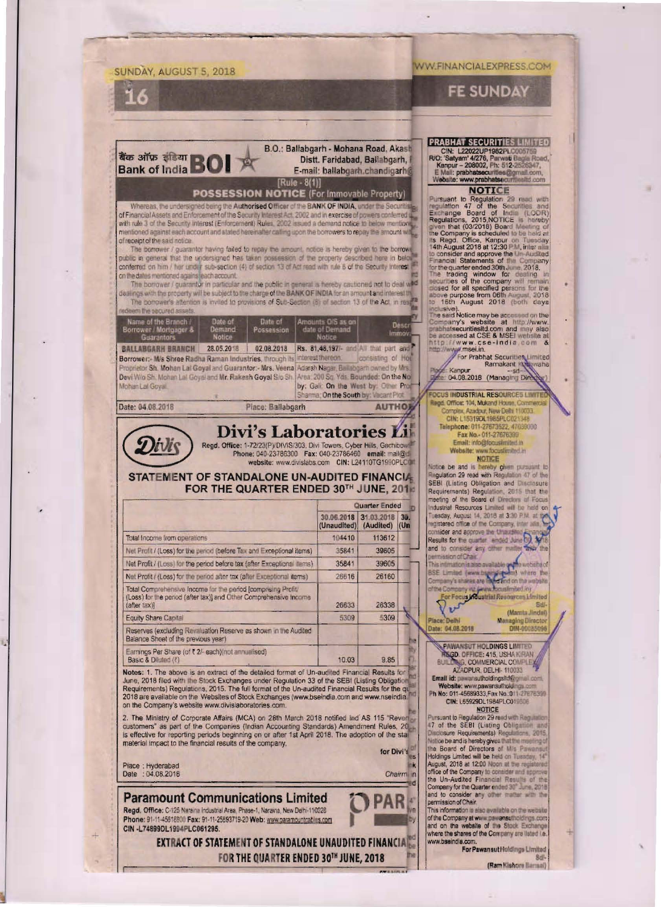# SUNDAY, AUGUST 5, 2018 16 B.O.: Ballabgarh - Mohana Road, Akash **Bank of India BO** Distt. Faridabad, Ballabgarh, E-mail: ballabgarh.chandigarh@  $[Rule - 8(1)]$ **POSSESSION NOTICE (For Immovable Property)** Whereas, the undersigned being the Authorised Officer of the BANK OF INDIA, under the Securiti of Financial Assets and Enforcement of the Security Interest Act, 2002 and in exercise of powers conferred use with rule 3 of the Security Interest (Enforcement) Rules, 2002 issued a demand notice to below mentions mentioned against each account and stated hereinalter calling upon the borrowers to repay the amount will of receipt of the said notice. The borrower / guarantor having failed to repay the amount, notice is hereby given to the borrow. conferred on him / her under sub-section (4) of section 13 of Act read with rule 6 of the Security Interest on the dates mentioned agains leach account. The borrower / guarantor in particular and the public in general is hereby cautioned not to deal with<br>dealings with the property will be subject to the charge of the BANK OF INDIA for an amount and interest the The borrower's attention is invited to provisions of Suti-Section (6) of section 13 of the Act, in reside Name of the Branch J. Date of Bate of

| Borrower / Mortgager &<br><b>Guarantois</b>                                                       | <b>Demand</b><br>Notice | Possession        | date of Demand<br><b>Notice</b>       | <b>LANSET</b><br>immov.                |
|---------------------------------------------------------------------------------------------------|-------------------------|-------------------|---------------------------------------|----------------------------------------|
| <b>BALLABGARH BRANCH</b>                                                                          | 28.05.2018              | 02.08.2018        |                                       | Rs. 81,48,197 Find All that part and P |
| Borrower: Mis Shree Radha Raman Industries, through its interest thereon.                         |                         |                   |                                       | consisting of Hot                      |
| Proprietor Sh. Mohan Lal Goyal and Guarantor: - Mrs. Veena Adarsh Nagar, Ballabgarn owned by Mrs. |                         |                   |                                       |                                        |
| Devi Wio Sh. Mohan Lai Goyal and Mr. Rakesh Goyal Sio Sh. [Area: 200 Sc. Yds. Bounded: On the No] |                         |                   |                                       |                                        |
| Mohan Lal Goval                                                                                   |                         |                   | by: Gall: On the West by: Other Prod  |                                        |
|                                                                                                   |                         |                   | Shannia: On the South by: Vecant Plot |                                        |
| Date: 04.08.2018                                                                                  |                         | Place: Ballaboarh |                                       | <b>AUTHOR</b>                          |

**Divi's Laboratories Li** 

Regd. Office: 1-72/23(P)/DIVIS/303. Divi Towers, Cyber Hills, Gachibow Phone: 040-23786300 Fax: 040-23786460 email: mail@ website: www.divislabs.com CIN: L24110TG1990PLC@

## STATEMENT OF STANDALONE UN-AUDITED FINANCIA FOR THE QUARTER ENDED 30TH JUNE, 2014

|                                                                                                                                                  | Quarter Ended             |                         |             |  |
|--------------------------------------------------------------------------------------------------------------------------------------------------|---------------------------|-------------------------|-------------|--|
|                                                                                                                                                  | 30.06.2018<br>(Unaudited) | 31.03.2018<br>(Audited) | 3ū.<br>(Un) |  |
| Total Income from operations                                                                                                                     | 104410                    | 113612                  |             |  |
| Net Profit / (Loss) for the period (before Tax and Exceptional items)                                                                            | 35841                     | 39605                   |             |  |
| Net Profit / (Loss) for the period before tax (after Exceptional terms)                                                                          | 35841                     | 39605                   |             |  |
| Net Profit / (Loss) for the period after tax (after Exceptional items)                                                                           | 26616                     | 26160                   |             |  |
| Total Comprehensive Income for the period (compnsing Profit)<br>(Loss) for the period (after tax)) and Other Comprehensive Income<br>(after 1ax) | 26633                     | 26338                   |             |  |
| <b>Equity Share Capital</b>                                                                                                                      | 5309                      | 5309                    |             |  |
| Reserves (excluding Revaluation Reserve as shown in the Audited<br>Balance Sheet of the previous year)                                           |                           |                         |             |  |
| Earnings Per Share (of ₹ 2/- each) inot annualised).<br>Basic & Diluted (?)                                                                      | 10.03                     | 9.85                    |             |  |

Notes: 1. The above is an extract of the detailed format of Un-audited Financial Results for June, 2018 filed with the Stock Exchanges under Regulation 33 of the SEBI (Listing Obligation Requirements) Regulations, 2015. The full format of the Un-audited Financial Results for the qualitative Requirements) Regulatio on the Company's website www.divislaboratories.com.

2. The Ministry of Corporate Affairs (MCA) on 28th March 2018 notified Ind AS 115 "Revert customers" as part of the Companies (Indian Accounting Standards) Amendment Rules, 20<br>is effective for reporting periods beginning on or after 1st April 2018. The adoption of the sta material impact to the financial results of the company.

for Divi's

'AR 14

Chairm n

Piace: Hyderabad<br>Date: 04.08.2018

**DEVES** 

#### **Paramount Communications Limited** Regd. Office: C-125 Naraina Industrial Area, Phase-1, Naraina, New Delhi-110028 Phone: 91-11-45618800 Fax: 91-11-25893719-20 Web: www.paramountcatles.com CIN -L74899DL1994PLC061295.

EXTRACT OF STATEMENT OF STANDALONE UNAUDITED FINANCIAL FOR THE QUARTER ENDED 30TH JUNE, 2018

## **WW.FINANCIALEXPRESS.COM**

**FE SUNDAY** 

### **PRABHAT SECURITIES LIMITED**

CIN: L22022UP1982FILC005759<br>RO: "Satyam" 4/276, Parwell Bagia Road,<br>Kampur – 208022, Pit: 512-25:058M7,<br>EMail: prabhatseourilles@gmail.com<br>Website: www.prabhatseourillesity.com

#### **NOTICE**

**NOTTLE**<br> **Explanation 29 read with requisition 29 read with requisitions** 7 of the Securities and Euchange Board of India (LODR)<br>
Regulations, 2015 NOTICE is increasingly won that (CODR) about that is represented to the f

to the said Notice may be accessed on the<br>Company's website at http://www.<br>machinescuritesitid.com and may also<br>machinescuritesitid.com and may also<br>be accessed at CSE & MSEI website at<br>http://www.cse-india.com<br>Although ma

For Prabhat Sccurities Limited Ramakant Kumaha Kannur 04.08.2018 (Managing Dirty)

**DCUS INDUSTRIAL RESOURCES LIMITED** Regd. Office: 104, Mukand House, Commercia Complex, Azadpur, New Delhi 110033. CIN: L153190L1985PLC021348 Telephone: 011-27673522, 47039098 Fax No. - 011-27676399<br>Email: info@tocustmited.in<br>Website: www.focustmited.in

**NOTICE**<br>Notice be and is hereby given pursuant to<br>Regulation 29 read with Regulation 47 of the SEBI (Listing Obligation and Disclosure<br>Requirements) Regulation, 2015 that the<br>meeting of the Board of Directors of Focus Industrial Resources Limited will be held on<br>Tuesday, August 14, 2018 at 3:30 P.M. at the consider and approve the United States  $\bigcirc$ and to consider any other matter and the mission of Chair. permeasure of Chair<br>This internation is also available of the website of<br>BSE Limited (www.bag of the white the<br>Company's shares are interested on the website<br>of the Company vs. (www.boxslimited.in)<br>For Focus Moustrial Reso

(Mamta Jinda)

Managing Director<br>DIN-00035096 ate: 04.08.2018

**EAWANSUT HOLDINGS LIMITED**<br> **REQD. OFFICE: 415, USHA KIRAN**<br>
BUILENG, COMMERCIAL COMPLEX<br>
AZADPUR, DELHI-110033

lace: Delhi

Email id: pawarsutholdingshd@gmeil.com.

Website: www.pawansuthold.gu.com CIN: L65929DL1984PLC019506

**NOTICE**<br>Insuant to Regulation 29 read with Regulation Pursuant to Regulation 29 read with Regulation<br>47 of the SEBI (Listing Obligation and<br>27 occure Requirements) Regulations 2015<br>Milice be and is hereby given that the meaning of<br>the Board of Directors of Mis-Persensus<br>Augus and to consider any other matter with the

This information is also available on the websit of the Company at www.pawansulholdings.com<br>and on the website of the Stock Exchange where the shares of the Company are listed i.e. www.bseindia.com

For Pawan sut Holdings Limited **Sdl** 

(Ram Kishore Barnali)